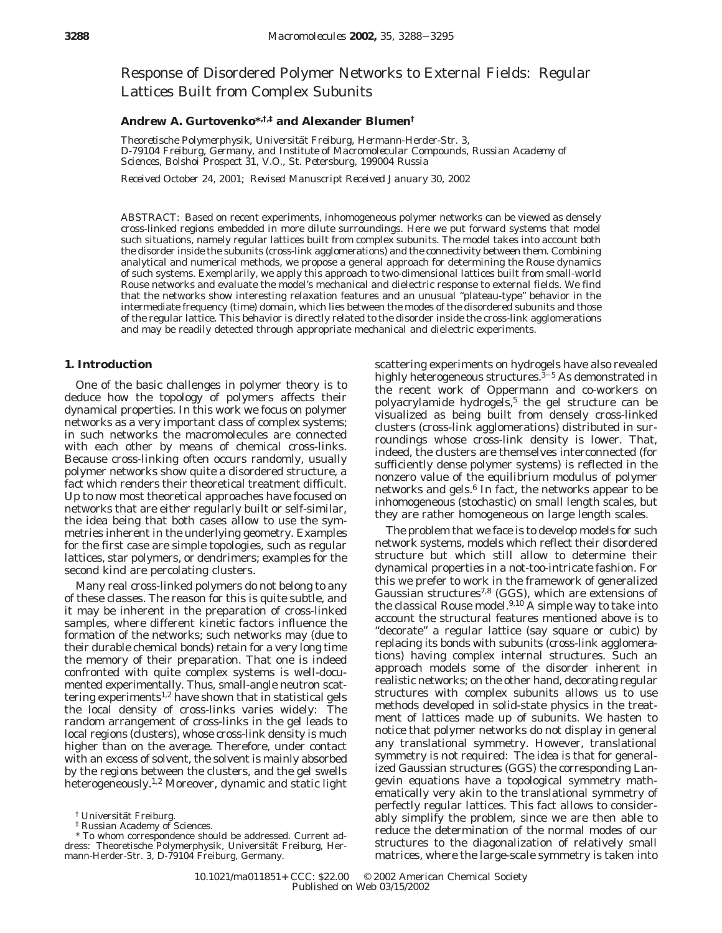Response of Disordered Polymer Networks to External Fields: Regular Lattices Built from Complex Subunits

# **Andrew A. Gurtovenko\*,†,‡ and Alexander Blumen†**

*Theoretische Polymerphysik, Universita*¨*t Freiburg, Hermann-Herder-Str. 3, D-79104 Freiburg, Germany, and Institute of Macromolecular Compounds, Russian Academy of Sciences, Bolshoi Prospect 31, V.O., St. Petersburg, 199004 Russia*

*Received October 24, 2001; Revised Manuscript Received January 30, 2002*

ABSTRACT: Based on recent experiments, inhomogeneous polymer networks can be viewed as densely cross-linked regions embedded in more dilute surroundings. Here we put forward systems that model such situations, namely regular lattices built from complex subunits. The model takes into account both the disorder inside the subunits (cross-link agglomerations) and the connectivity between them. Combining analytical and numerical methods, we propose a general approach for determining the Rouse dynamics of such systems. Exemplarily, we apply this approach to two-dimensional lattices built from small-world Rouse networks and evaluate the model's mechanical and dielectric response to external fields. We find that the networks show interesting relaxation features and an unusual "plateau-type" behavior in the intermediate frequency (time) domain, which lies between the modes of the disordered subunits and those of the regular lattice. This behavior is directly related to the disorder inside the cross-link agglomerations and may be readily detected through appropriate mechanical and dielectric experiments.

### **1. Introduction**

One of the basic challenges in polymer theory is to deduce how the topology of polymers affects their dynamical properties. In this work we focus on polymer networks as a very important class of complex systems; in such networks the macromolecules are connected with each other by means of chemical cross-links. Because cross-linking often occurs randomly, usually polymer networks show quite a disordered structure, a fact which renders their theoretical treatment difficult. Up to now most theoretical approaches have focused on networks that are either regularly built or self-similar, the idea being that both cases allow to use the symmetries inherent in the underlying geometry. Examples for the first case are simple topologies, such as regular lattices, star polymers, or dendrimers; examples for the second kind are percolating clusters.

Many real cross-linked polymers do not belong to any of these classes. The reason for this is quite subtle, and it may be inherent in the preparation of cross-linked samples, where different kinetic factors influence the formation of the networks; such networks may (due to their durable chemical bonds) retain for a very long time the memory of their preparation. That one is indeed confronted with quite complex systems is well-documented experimentally. Thus, small-angle neutron scattering experiments<sup>1,2</sup> have shown that in statistical gels the local density of cross-links varies widely: The random arrangement of cross-links in the gel leads to local regions (clusters), whose cross-link density is much higher than on the average. Therefore, under contact with an excess of solvent, the solvent is mainly absorbed by the regions between the clusters, and the gel swells heterogeneously.1,2 Moreover, dynamic and static light

scattering experiments on hydrogels have also revealed highly heterogeneous structures.<sup>3-5</sup> As demonstrated in the recent work of Oppermann and co-workers on polyacrylamide hydrogels,<sup>5</sup> the gel structure can be visualized as being built from densely cross-linked clusters (cross-link agglomerations) distributed in surroundings whose cross-link density is lower. That, indeed, the clusters are themselves interconnected (for sufficiently dense polymer systems) is reflected in the nonzero value of the equilibrium modulus of polymer networks and gels.<sup>6</sup> In fact, the networks appear to be inhomogeneous (stochastic) on small length scales, but they are rather homogeneous on large length scales.

The problem that we face is to develop models for such network systems, models which reflect their disordered structure but which still allow to determine their dynamical properties in a not-too-intricate fashion. For this we prefer to work in the framework of generalized Gaussian structures<sup>7,8</sup> (GGS), which are extensions of the classical Rouse model. $9,10$  A simple way to take into account the structural features mentioned above is to "decorate" a regular lattice (say square or cubic) by replacing its bonds with subunits (cross-link agglomerations) having complex internal structures. Such an approach models some of the disorder inherent in realistic networks; on the other hand, decorating regular structures with complex subunits allows us to use methods developed in solid-state physics in the treatment of lattices made up of subunits. We hasten to notice that polymer networks do not display in general any translational symmetry. However, translational symmetry is not required: The idea is that for generalized Gaussian structures (GGS) the corresponding Langevin equations have a topological symmetry mathematically very akin to the translational symmetry of perfectly regular lattices. This fact allows to considerably simplify the problem, since we are then able to reduce the determination of the normal modes of our structures to the diagonalization of relatively small matrices, where the large-scale symmetry is taken into

<sup>&</sup>lt;sup>†</sup> Universität Freiburg.<br><sup>‡</sup> Russian Academy of Sciences.

<sup>\*</sup> To whom correspondence should be addressed. Current address: Theoretische Polymerphysik, Universität Freiburg, Hermann-Herder-Str. 3, D-79104 Freiburg, Germany.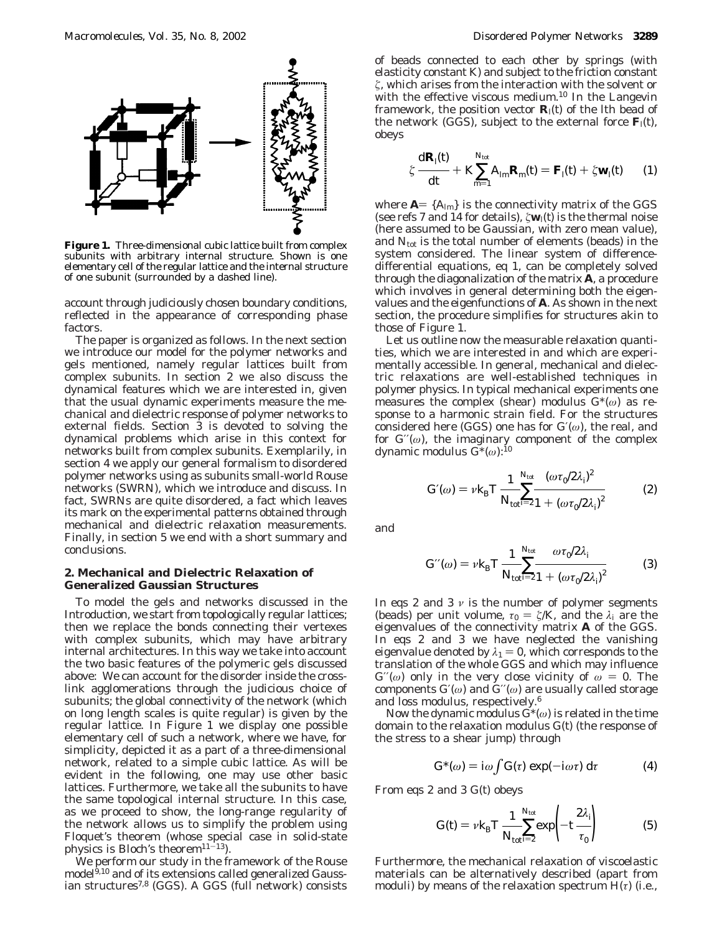

**Figure 1.** Three-dimensional cubic lattice built from complex subunits with arbitrary internal structure. Shown is one elementary cell of the regular lattice and the internal structure of one subunit (surrounded by a dashed line).

account through judiciously chosen boundary conditions, reflected in the appearance of corresponding phase factors.

The paper is organized as follows. In the next section we introduce our model for the polymer networks and gels mentioned, namely regular lattices built from complex subunits. In section 2 we also discuss the dynamical features which we are interested in, given that the usual dynamic experiments measure the mechanical and dielectric response of polymer networks to external fields. Section 3 is devoted to solving the dynamical problems which arise in this context for networks built from complex subunits. Exemplarily, in section 4 we apply our general formalism to disordered polymer networks using as subunits small-world Rouse networks (SWRN), which we introduce and discuss. In fact, SWRNs are quite disordered, a fact which leaves its mark on the experimental patterns obtained through mechanical and dielectric relaxation measurements. Finally, in section 5 we end with a short summary and conclusions.

# **2. Mechanical and Dielectric Relaxation of Generalized Gaussian Structures**

To model the gels and networks discussed in the Introduction, we start from topologically regular lattices; then we replace the bonds connecting their vertexes with complex subunits, which may have arbitrary internal architectures. In this way we take into account the two basic features of the polymeric gels discussed above: We can account for the disorder inside the crosslink agglomerations through the judicious choice of subunits; the global connectivity of the network (which on long length scales is quite regular) is given by the regular lattice. In Figure 1 we display one possible elementary cell of such a network, where we have, for simplicity, depicted it as a part of a three-dimensional network, related to a simple cubic lattice. As will be evident in the following, one may use other basic lattices. Furthermore, we take all the subunits to have the same topological internal structure. In this case, as we proceed to show, the long-range regularity of the network allows us to simplify the problem using Floquet's theorem (whose special case in solid-state physics is Bloch's theorem $11-13$ ).

We perform our study in the framework of the Rouse model<sup>9,10</sup> and of its extensions called generalized Gaussian structures<sup>7,8</sup> (GGS). A GGS (full network) consists

of beads connected to each other by springs (with elasticity constant *K*) and subject to the friction constant *ú*, which arises from the interaction with the solvent or with the effective viscous medium.10 In the Langevin framework, the position vector  $\mathbf{R}_i(t)$  of the *l*th bead of the network (GGS), subject to the external force  $\mathbf{F}_l(t)$ , obeys

$$
\zeta \frac{\mathrm{d} \mathbf{R}_l(t)}{\mathrm{d} t} + K \sum_{m=1}^{N_{\text{tot}}} A_{lm} \mathbf{R}_m(t) = \mathbf{F}_l(t) + \zeta \mathbf{w}_l(t) \qquad (1)
$$

where  $A = \{A_{lm}\}\$ is the connectivity matrix of the GGS (see refs 7 and 14 for details), *ú***w***l*(*t*) is the thermal noise (here assumed to be Gaussian, with zero mean value), and  $N_{\text{tot}}$  is the total number of elements (beads) in the system considered. The linear system of differencedifferential equations, eq 1, can be completely solved through the diagonalization of the matrix **A**, a procedure which involves in general determining both the eigenvalues and the eigenfunctions of **A**. As shown in the next section, the procedure simplifies for structures akin to those of Figure 1.

Let us outline now the measurable relaxation quantities, which we are interested in and which are experimentally accessible. In general, mechanical and dielectric relaxations are well-established techniques in polymer physics. In typical mechanical experiments one measures the complex (shear) modulus  $G^*(\omega)$  as response to a harmonic strain field. For the structures considered here (GGS) one has for *G*′(*ω*), the real, and for  $G''(\omega)$ , the imaginary component of the complex dynamic modulus *G*\*(*ω*):10

$$
G'(\omega) = \nu k_{\rm B} T \frac{1}{N_{\rm tot} \sum_{i=2}^{N_{\rm tot}} \frac{(\omega \tau_0 / 2\lambda_i)^2}{1 + (\omega \tau_0 / 2\lambda_i)^2}
$$
 (2)

and

$$
G'(\omega) = \nu k_{\rm B} T \frac{1}{N_{\rm tot} \varepsilon^2} \frac{\omega \tau_0 / 2 \lambda_i}{1 + (\omega \tau_0 / 2 \lambda_i)^2}
$$
(3)

In eqs 2 and 3  $\nu$  is the number of polymer segments (beads) per unit volume,  $\tau_0 = \zeta/K$ , and the  $\lambda_i$  are the eigenvalues of the connectivity matrix **A** of the GGS. In eqs 2 and 3 we have neglected the vanishing eigenvalue denoted by  $\lambda_1 = 0$ , which corresponds to the translation of the whole GGS and which may influence  $G''(\omega)$  only in the very close vicinity of  $\omega = 0$ . The components  $G'(\omega)$  and  $G''(\omega)$  are usually called storage and loss modulus, respectively.6

Now the dynamic modulus *G*\*(*ω*) is related in the time domain to the relaxation modulus *G*(*t*) (the response of the stress to a shear jump) through

$$
G^*(\omega) = i\omega \int G(\tau) \exp(-i\omega \tau) d\tau \qquad (4)
$$

From eqs 2 and 3 *G*(*t*) obeys

$$
G(t) = v k_{\rm B} T \frac{1}{N_{\rm tot} \sum_{i=2}^{N_{\rm tot}} \exp\left(-t \frac{2\lambda_i}{\tau_0}\right)}
$$
(5)

Furthermore, the mechanical relaxation of viscoelastic materials can be alternatively described (apart from moduli) by means of the relaxation spectrum *H*(*τ*) (i.e.,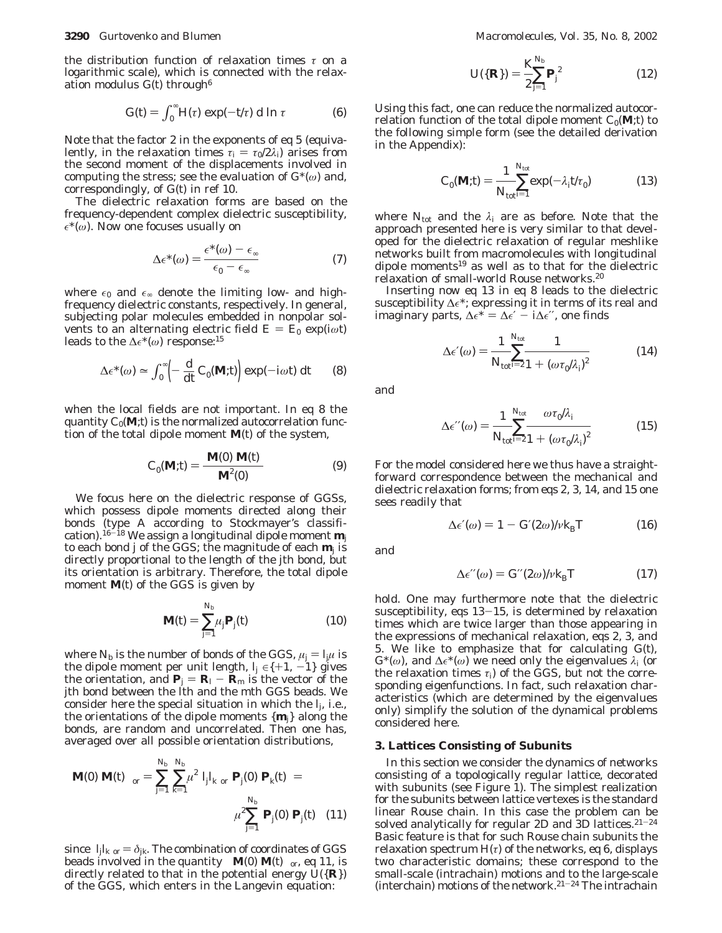the distribution function of relaxation times *τ* on a logarithmic scale), which is connected with the relaxation modulus  $G(t)$  through<sup>6</sup>

$$
G(t) = \int_0^\infty H(\tau) \exp(-t/\tau) \, \mathrm{d} \ln \tau \tag{6}
$$

Note that the factor 2 in the exponents of eq 5 (equivalently, in the relaxation times  $\tau_i = \tau_0/2\lambda_i$  arises from the second moment of the displacements involved in computing the stress; see the evaluation of *G*\*(*ω*) and, correspondingly, of *G*(*t*) in ref 10.

The dielectric relaxation forms are based on the frequency-dependent complex dielectric susceptibility,  $\epsilon^*(\omega)$ . Now one focuses usually on

$$
\Delta \epsilon^*(\omega) = \frac{\epsilon^*(\omega) - \epsilon_{\infty}}{\epsilon_0 - \epsilon_{\infty}} \tag{7}
$$

where  $\epsilon_0$  and  $\epsilon_{\infty}$  denote the limiting low- and highfrequency dielectric constants, respectively. In general, subjecting polar molecules embedded in nonpolar solvents to an alternating electric field  $E = E_0 \exp(i\omega t)$ leads to the  $\Delta \epsilon^*(\omega)$  response:<sup>15</sup>

$$
\Delta \epsilon^*(\omega) \simeq \int_0^\infty \left( -\frac{\mathrm{d}}{\mathrm{d}t} C_0(\mathbf{M}; t) \right) \exp(-i\omega t) \, \mathrm{d}t \qquad (8)
$$

when the local fields are not important. In eq 8 the quantity  $C_0(\mathbf{M};t)$  is the normalized autocorrelation function of the total dipole moment **M**(*t*) of the system,

$$
C_0(\mathbf{M};t) = \frac{\langle \mathbf{M}(0) \mathbf{M}(t) \rangle}{\langle \mathbf{M}^2(0) \rangle}
$$
(9)

We focus here on the dielectric response of GGSs, which possess dipole moments directed along their bonds (type A according to Stockmayer's classification).16-<sup>18</sup> We assign a longitudinal dipole moment **m***<sup>j</sup>* to each bond *j* of the GGS; the magnitude of each  $\mathbf{m}_i$  is directly proportional to the length of the *j*th bond, but its orientation is arbitrary. Therefore, the total dipole moment **M**(*t*) of the GGS is given by

$$
\mathbf{M}(t) = \sum_{j=1}^{N_b} \mu_j \mathbf{P}_j(t) \tag{10}
$$

where  $N_b$  is the number of bonds of the GGS,  $\mu_j = I_{jk}$  is the dipole moment per unit length,  $l_i \in \{+1, -1\}$  gives the orientation, and  $P_j = R_l - R_m$  is the vector of the *j*th bond between the *l*th and the *m*th GGS beads. We consider here the special situation in which the *lj*, i.e., the orientations of the dipole moments  $\{\mathbf{m}_i\}$  along the bonds, are random and uncorrelated. Then one has, averaged over all possible orientation distributions,

$$
\langle \langle \mathbf{M}(0) | \mathbf{M}(t) \rangle \rangle_{or} = \sum_{j=1}^{N_b} \sum_{k=1}^{N_b} \mu^2 \langle J_j I_k \rangle_{or} \langle \mathbf{P}_j(0) | \mathbf{P}_k(t) \rangle =
$$

$$
\mu^2 \sum_{j=1}^{N_b} \langle \mathbf{P}_j(0) | \mathbf{P}_j(t) \rangle \tag{11}
$$

since  $\langle I_j I_k \rangle_{\text{or}} = \delta_{jk}$ . The combination of coordinates of GGS beads involved in the quantity  $\langle \langle \mathbf{M}(0) \mathbf{M}(t) \rangle \rangle$ <sub>or</sub>, eq 11, is directly related to that in the potential energy  $U(\{R\})$ of the GGS, which enters in the Langevin equation:

$$
U({\{R\}}) = \frac{K_{\{N_b\}}^{N_b}}{2} P_j^2
$$
 (12)

Using this fact, one can reduce the normalized autocorrelation function of the total dipole moment  $C_0(\mathbf{M};t)$  to the following simple form (see the detailed derivation in the Appendix):

$$
C_0(\mathbf{M};t) = \frac{1}{N_{\text{tot}}}\sum_{i=1}^{N_{\text{tot}}} \exp(-\lambda_i t/\tau_0)
$$
(13)

where  $N_{\text{tot}}$  and the  $\lambda_i$  are as before. Note that the approach presented here is very similar to that developed for the dielectric relaxation of regular meshlike networks built from macromolecules with longitudinal dipole moments19 as well as to that for the dielectric relaxation of small-world Rouse networks.20

Inserting now eq 13 in eq 8 leads to the dielectric susceptibility  $\Delta \epsilon^*$ ; expressing it in terms of its real and imaginary parts,  $\Delta \epsilon^* = \Delta \epsilon' - i \Delta \epsilon''$ , one finds

$$
\Delta \epsilon'(\omega) = \frac{1}{N_{\text{tot}} \sum_{i=2}^{N_{\text{tot}}} \frac{1}{1 + (\omega \tau_0 / \lambda_i)^2}}
$$
(14)

and

$$
\Delta \epsilon''(\omega) = \frac{1}{N_{\text{tot}} \sum_{i=2}^{N_{\text{tot}}} \frac{\omega \tau_0 / \lambda_i}{1 + (\omega \tau_0 / \lambda_i)^2}}
$$
(15)

For the model considered here we thus have a straightforward correspondence between the mechanical and dielectric relaxation forms; from eqs 2, 3, 14, and 15 one sees readily that

$$
\Delta \epsilon'(\omega) = 1 - G'(2\omega)/\nu k_{\rm B}T \tag{16}
$$

and

$$
\Delta \epsilon''(\omega) = G''(2\omega)/\nu k_{\rm B}T \tag{17}
$$

hold. One may furthermore note that the dielectric susceptibility, eqs  $13-15$ , is determined by relaxation times which are twice larger than those appearing in the expressions of mechanical relaxation, eqs 2, 3, and 5. We like to emphasize that for calculating *G*(*t*), *G*<sup>\*</sup>(ω), and Δ $\epsilon$ <sup>\*</sup>(ω) we need only the eigenvalues  $λ<sub>i</sub>$  (or the relaxation times  $\tau_i$ ) of the GGS, but not the corresponding eigenfunctions. In fact, such relaxation characteristics (which are determined by the eigenvalues only) simplify the solution of the dynamical problems considered here.

#### **3. Lattices Consisting of Subunits**

In this section we consider the dynamics of networks consisting of a topologically regular lattice, decorated with subunits (see Figure 1). The simplest realization for the subunits between lattice vertexes is the standard linear Rouse chain. In this case the problem can be solved analytically for regular 2D and 3D lattices.<sup>21-24</sup> Basic feature is that for such Rouse chain subunits the relaxation spectrum  $H(\tau)$  of the networks, eq 6, displays two characteristic domains; these correspond to the small-scale (intrachain) motions and to the large-scale (interchain) motions of the network.<sup>21-24</sup> The intrachain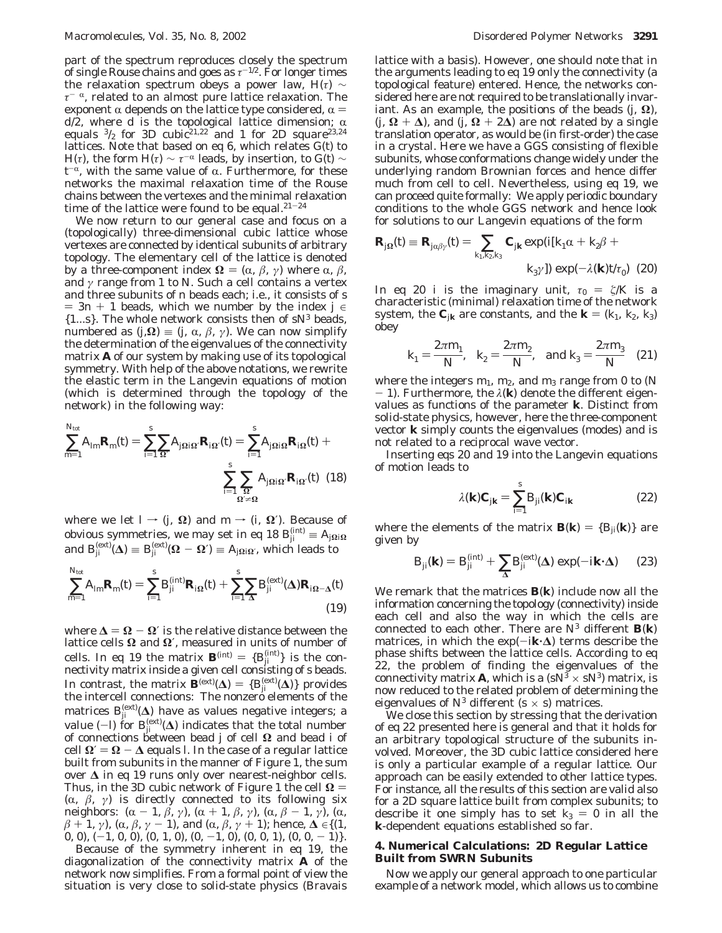part of the spectrum reproduces closely the spectrum of single Rouse chains and goes as  $\tau^{-1/2}$ . For longer times the relaxation spectrum obeys a power law,  $H(\tau) \sim$  $τ<sup>-α</sup>$ , related to an almost pure lattice relaxation. The exponent  $\alpha$  depends on the lattice type considered,  $\alpha$  =  $d\overline{2}$ , where  $d$  is the topological lattice dimension;  $\alpha$ equals  $3/2$  for 3D cubic<sup>21,22</sup> and 1 for 2D square<sup>23,24</sup> lattices. Note that based on eq 6, which relates *G*(*t*) to *H*(*τ*), the form *H*(*τ*)  $\sim \tau^{-\alpha}$  leads, by insertion, to *G*(*t*)  $\sim$  $t^{-\alpha}$ , with the same value of  $\alpha$ . Furthermore, for these networks the maximal relaxation time of the Rouse chains between the vertexes and the minimal relaxation time of the lattice were found to be equal. $21-24$ 

We now return to our general case and focus on a (topologically) three-dimensional cubic lattice whose vertexes are connected by identical subunits of arbitrary topology. The elementary cell of the lattice is denoted by a three-component index  $\Omega = (\alpha, \beta, \gamma)$  where α, *β*, and *γ* range from 1 to *N*. Such a cell contains a vertex and three subunits of *n* beads each; i.e., it consists of *s*  $= 3n + 1$  beads, which we number by the index  $j \in$ {1...*s*}. The whole network consists then of *sN*<sup>3</sup> beads, numbered as  $(j, \Omega)$  =  $(j, \alpha, \beta, \gamma)$ . We can now simplify the determination of the eigenvalues of the connectivity matrix **A** of our system by making use of its topological symmetry. With help of the above notations, we rewrite the elastic term in the Langevin equations of motion (which is determined through the topology of the network) in the following way:

$$
\sum_{m=1}^{N_{\text{tot}}} A_{lm} \mathbf{R}_m(t) = \sum_{i=1}^s \sum_{\Omega'} A_{j\Omega i\Omega'} \mathbf{R}_{i\Omega'}(t) = \sum_{i=1}^s A_{j\Omega i\Omega} \mathbf{R}_{i\Omega}(t) + \sum_{i=1}^s \sum_{\Omega'} A_{j\Omega i\Omega'} \mathbf{R}_{i\Omega'}(t) \tag{18}
$$

where we let  $I \rightarrow (j, \Omega)$  and  $m \rightarrow (i, \Omega')$ . Because of obvious symmetries, we may set in eq 18  $B_{ji}^{(\text{int})} \equiv A_{j\Omega} \Omega$ and  $B_{ji}^{\text{(ext)}}(\Delta) \equiv B_{ji}^{\text{(ext)}}(\Omega - \Omega') \equiv A_{j\Omega/\Omega'}$ , which leads to

$$
\sum_{m=1}^{N_{\text{tot}}} A_{lm} \mathbf{R}_m(t) = \sum_{i=1}^s B_{ji}^{(\text{int})} \mathbf{R}_{i\Omega}(t) + \sum_{i=1}^s \sum_{\Delta} B_{ji}^{(\text{ext})}(\Delta) \mathbf{R}_{i\Omega - \Delta}(t)
$$
(19)

where **<sup>∆</sup>** ) **<sup>Ω</sup>** - **<sup>Ω</sup>**′ is the relative distance between the lattice cells **Ω** and **Ω**′, measured in units of number of cells. In eq 19 the matrix  $\mathbf{B}^{(\text{int})} = \{B_{ji}^{(\text{int})}\}\$  is the con-<br>nectivity matrix inside a given cell consisting of sheads nectivity matrix inside a given cell consisting of *s* beads. In contrast, the matrix  $\mathbf{B}^{(\text{ext})}(\Delta) = \{B_{ji}^{(\text{ext})}(\Delta)\}\$  provides the intercell connections: The nonzero elements of the the intercell connections: The nonzero elements of the matrices  $B_{ji}^{\rm (ext)}(\Delta)$  have as values negative integers; a value  $(-l)$  for  $B_{ji}^{(ext)}(\Delta)$  indicates that the total number<br>of connections between head *i* of cell  $\Omega$  and head *i* of of connections between bead *j* of cell **Ω** and bead *i* of  $\text{cell } Ω′ = Ω − Δ$  equals *l*. In the case of a regular lattice built from subunits in the manner of Figure 1, the sum over **∆** in eq 19 runs only over nearest-neighbor cells. Thus, in the 3D cubic network of Figure 1 the cell  $\Omega$  = ( $\alpha$ ,  $\beta$ ,  $\gamma$ ) is directly connected to its following six neighbors:  $(\alpha - 1, \beta, \gamma)$ ,  $(\alpha + 1, \beta, \gamma)$ ,  $(\alpha, \beta - 1, \gamma)$ ,  $(\alpha, \beta + 1, \gamma)$  ( $\alpha, \beta, \gamma - 1$ ) and  $(\alpha, \beta, \gamma + 1)$ ; hence  $\Lambda \in \{1\}$ *â* + 1, *γ*), ( $\alpha$ ,  $\beta$ ,  $\gamma$  - 1), and ( $\alpha$ ,  $\beta$ ,  $\gamma$  + 1); hence,  $\Delta \in \{(1, 0, 0), (-1, 0, 0), (0, 1, 0), (0, -1, 0), (0, 0, 1), (0, 0, -1)\}$ 0, 0),  $(-1, 0, 0)$ ,  $(0, 1, 0)$ ,  $(0, -1, 0)$ ,  $(0, 0, 1)$ ,  $(0, 0, -1)$ .

Because of the symmetry inherent in eq 19, the diagonalization of the connectivity matrix **A** of the network now simplifies. From a formal point of view the situation is very close to solid-state physics (Bravais lattice with a basis). However, one should note that in the arguments leading to eq 19 only the connectivity (a topological feature) entered. Hence, the networks considered here are not required to be translationally invariant. As an example, the positions of the beads  $(j, \Omega)$ ,  $(j, \Omega + \Delta)$ , and  $(j, \Omega + 2\Delta)$  are not related by a single translation operator, as would be (in first-order) the case in a crystal. Here we have a GGS consisting of flexible subunits, whose conformations change widely under the underlying random Brownian forces and hence differ much from cell to cell. Nevertheless, using eq 19, we can proceed quite formally: We apply periodic boundary conditions to the whole GGS network and hence look for solutions to our Langevin equations of the form

$$
\mathbf{R}_{j\Omega}(t) \equiv \mathbf{R}_{j\alpha\beta\gamma}(t) = \sum_{k_1, k_2, k_3} \mathbf{C}_{jk} \exp(i[k_1\alpha + k_2\beta + k_3\gamma]) \exp(-\lambda(\mathbf{k}) t/\tau_0) \tag{20}
$$

In eq 20 *i* is the imaginary unit,  $\tau_0 = \zeta/K$  is a characteristic (minimal) relaxation time of the network system, the  $\mathbf{C}_{jk}$  are constants, and the  $\mathbf{k} = (k_1, k_2, k_3)$ obey

$$
k_1 = \frac{2\pi m_1}{N}
$$
,  $k_2 = \frac{2\pi m_2}{N}$ , and  $k_3 = \frac{2\pi m_3}{N}$  (21)

where the integers *m*1, *m*2, and *m*<sup>3</sup> range from 0 to (*N*  $-$  1). Furthermore, the  $\lambda(\mathbf{k})$  denote the different eigenvalues as functions of the parameter **k**. Distinct from solid-state physics, however, here the three-component vector **k** simply counts the eigenvalues (modes) and is not related to a reciprocal wave vector.

Inserting eqs 20 and 19 into the Langevin equations of motion leads to

$$
\lambda(\mathbf{k})\mathbf{C}_{j\mathbf{k}} = \sum_{i=1}^{s} B_{ji}(\mathbf{k})\mathbf{C}_{j\mathbf{k}}
$$
 (22)

where the elements of the matrix  $\mathbf{B}(\mathbf{k}) = {B_{ii}(\mathbf{k})}$  are given by

$$
B_{ji}(\mathbf{k}) = B_{ji}^{(\text{int})} + \sum_{\Delta} B_{ji}^{(\text{ext})}(\Delta) \exp(-i\mathbf{k} \cdot \Delta) \qquad (23)
$$

We remark that the matrices **B**(**k**) include now all the information concerning the topology (connectivity) inside each cell and also the way in which the cells are connected to each other. There are  $N^3$  different  $\mathbf{B}(\mathbf{k})$ matrices, in which the  $exp(-i\mathbf{k}\cdot\mathbf{\Delta})$  terms describe the phase shifts between the lattice cells. According to eq 22, the problem of finding the eigenvalues of the connectivity matrix **A**, which is a  $(sN^3 \times sN^3)$  matrix, is now reduced to the related problem of determining the eigenvalues of  $N^3$  different  $(s \times s)$  matrices.

We close this section by stressing that the derivation of eq 22 presented here is general and that it holds for an arbitrary topological structure of the subunits involved. Moreover, the 3D cubic lattice considered here is only a particular example of a regular lattice. Our approach can be easily extended to other lattice types. For instance, all the results of this section are valid also for a 2D square lattice built from complex subunits; to describe it one simply has to set  $k_3 = 0$  in all the **k**-dependent equations established so far.

# **4. Numerical Calculations: 2D Regular Lattice Built from SWRN Subunits**

Now we apply our general approach to one particular example of a network model, which allows us to combine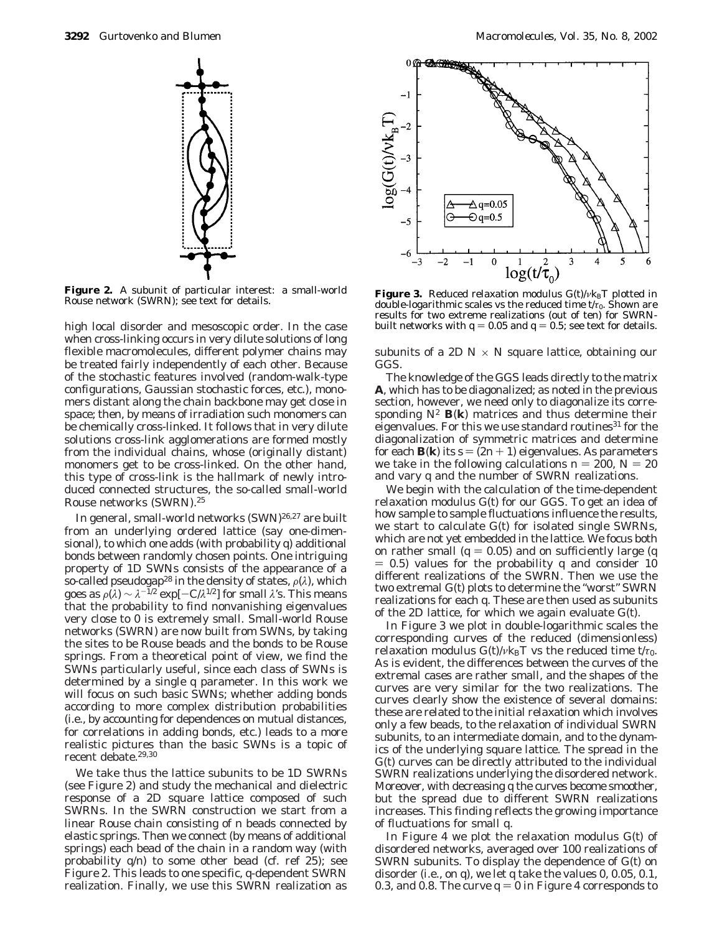

**Figure 2.** A subunit of particular interest: a small-world **Figure 2.** A subunit of particular interest: a sinan-world **Figure 3.** Reduced relaxation modulus *G(t)/vk<sub>B</sub>T* plotted in a matrice in a matrice of the state of the state of the state of the state of the state of the st

high local disorder and mesoscopic order. In the case when cross-linking occurs in very dilute solutions of long flexible macromolecules, different polymer chains may be treated fairly independently of each other. Because of the stochastic features involved (random-walk-type configurations, Gaussian stochastic forces, etc.), monomers distant along the chain backbone may get close in space; then, by means of irradiation such monomers can be chemically cross-linked. It follows that in very dilute solutions cross-link agglomerations are formed mostly from the individual chains, whose (originally distant) monomers get to be cross-linked. On the other hand, this type of cross-link is the hallmark of newly introduced connected structures, the so-called small-world Rouse networks (SWRN).25

In general, small-world networks (SWN)<sup>26,27</sup> are built from an underlying ordered lattice (say one-dimensional), to which one adds (with probability *q*) additional bonds between randomly chosen points. One intriguing property of 1D SWNs consists of the appearance of a so-called pseudogap<sup>28</sup> in the density of states,  $\rho(\lambda)$ , which goes as  $\rho(\lambda) \sim \lambda^{-1/2}$  exp[ $-C/\lambda^{1/2}$ ] for small  $\lambda$ 's. This means that the probability to find nonvanishing eigenvalues very close to 0 is extremely small. Small-world Rouse networks (SWRN) are now built from SWNs, by taking the sites to be Rouse beads and the bonds to be Rouse springs. From a theoretical point of view, we find the SWNs particularly useful, since each class of SWNs is determined by a single *q* parameter. In this work we will focus on such basic SWNs; whether adding bonds according to more complex distribution probabilities (i.e., by accounting for dependences on mutual distances, for correlations in adding bonds, etc.) leads to a more realistic pictures than the basic SWNs is a topic of recent debate.<sup>29,30</sup>

We take thus the lattice subunits to be 1D SWRNs (see Figure 2) and study the mechanical and dielectric response of a 2D square lattice composed of such SWRNs. In the SWRN construction we start from a linear Rouse chain consisting of *n* beads connected by elastic springs. Then we connect (by means of additional springs) each bead of the chain in a random way (with probability *q*/*n*) to some other bead (cf. ref 25); see Figure 2. This leads to one specific, *q*-dependent SWRN realization. Finally, we use this SWRN realization as



double-logarithmic scales vs the reduced time  $t/\tau_0$ . Shown are results for two extreme realizations (out of ten) for SWRNbuilt networks with  $q = 0.05$  and  $q = 0.5$ ; see text for details.

subunits of a 2D  $N \times N$  square lattice, obtaining our GGS.

The knowledge of the GGS leads directly to the matrix **A**, which has to be diagonalized; as noted in the previous section, however, we need only to diagonalize its corresponding  $N^2$  **B**(**k**) matrices and thus determine their eigenvalues. For this we use standard routines<sup>31</sup> for the diagonalization of symmetric matrices and determine for each **B**(**k**) its  $s = (2n + 1)$  eigenvalues. As parameters we take in the following calculations  $n = 200$ ,  $N = 20$ and vary *q* and the number of SWRN realizations.

We begin with the calculation of the time-dependent relaxation modulus *G*(*t*) for our GGS. To get an idea of how sample to sample fluctuations influence the results, we start to calculate *G*(*t*) for isolated single SWRNs, which are not yet embedded in the lattice. We focus both on rather small ( $q = 0.05$ ) and on sufficiently large ( $q$  $= 0.5$ ) values for the probability *q* and consider 10 different realizations of the SWRN. Then we use the two extremal *G*(*t*) plots to determine the "worst" SWRN realizations for each *q*. These are then used as subunits of the 2D lattice, for which we again evaluate *G*(*t*).

In Figure 3 we plot in double-logarithmic scales the corresponding curves of the reduced (dimensionless) relaxation modulus  $G(t)/v k_B T$  vs the reduced time  $t/\tau_0$ . As is evident, the differences between the curves of the extremal cases are rather small, and the shapes of the curves are very similar for the two realizations. The curves clearly show the existence of several domains: these are related to the initial relaxation which involves only a few beads, to the relaxation of individual SWRN subunits, to an intermediate domain, and to the dynamics of the underlying square lattice. The spread in the *G*(*t*) curves can be directly attributed to the individual SWRN realizations underlying the disordered network. Moreover, with decreasing *q* the curves become smoother, but the spread due to different SWRN realizations increases. This finding reflects the growing importance of fluctuations for small *q*.

In Figure 4 we plot the relaxation modulus *G*(*t*) of disordered networks, averaged over 100 realizations of SWRN subunits. To display the dependence of *G*(*t*) on disorder (i.e., on *q*), we let *q* take the values 0, 0.05, 0.1, 0.3, and 0.8. The curve  $q = 0$  in Figure 4 corresponds to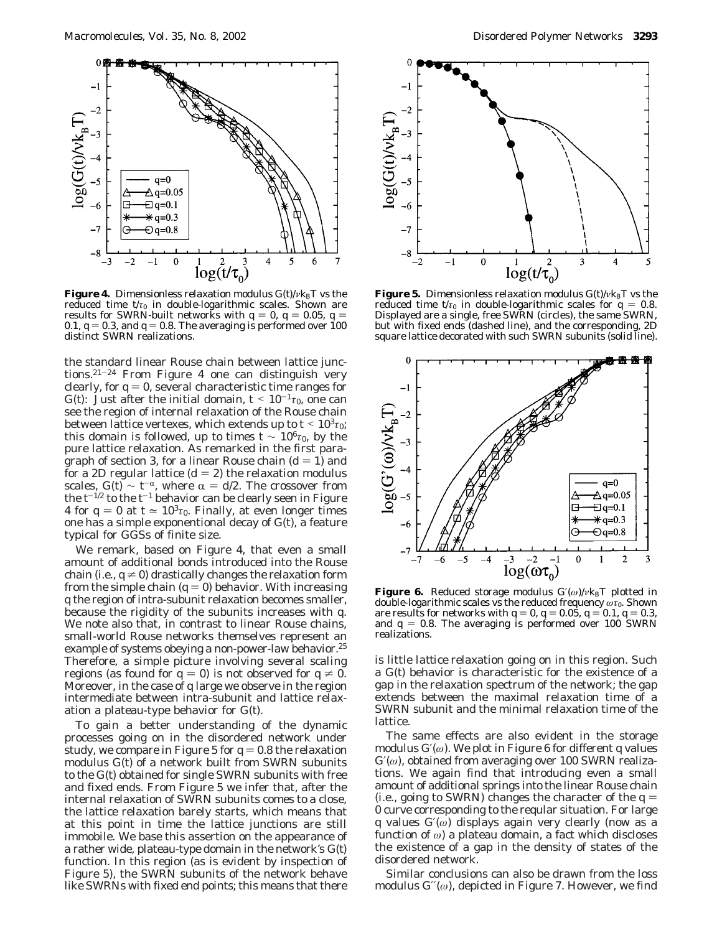

**Figure 4.** Dimensionless relaxation modulus  $G(t)/v k_B T$  vs the reduced time  $t/\tau_0$  in double-logarithmic scales. Shown are results for SWRN-built networks with  $q = 0, q = 0.05, q = 0.05$ 0.1,  $q = 0.3$ , and  $q = 0.8$ . The averaging is performed over 100 distinct SWRN realizations.

the standard linear Rouse chain between lattice junctions.21-<sup>24</sup> From Figure 4 one can distinguish very clearly, for  $q = 0$ , several characteristic time ranges for *G*(*t*): Just after the initial domain,  $t < 10^{-1} \tau_0$ , one can see the region of internal relaxation of the Rouse chain between lattice vertexes, which extends up to  $t < 10^3 \tau_0$ ; this domain is followed, up to times  $t \sim 10^6 \tau_0$ , by the pure lattice relaxation. As remarked in the first paragraph of section 3, for a linear Rouse chain  $(d=1)$  and for a 2D regular lattice  $(d = 2)$  the relaxation modulus scales,  $G(t) \sim t^{-\alpha}$ , where  $\alpha = d/2$ . The crossover from the  $t^{-1/2}$  to the  $t^{-1}$  behavior can be clearly seen in Figure 4 for  $q = 0$  at  $t \approx 10^3 \tau_0$ . Finally, at even longer times one has a simple exponentional decay of *G*(*t*), a feature typical for GGSs of finite size.

We remark, based on Figure 4, that even a small amount of additional bonds introduced into the Rouse chain (i.e.,  $q \neq 0$ ) drastically changes the relaxation form from the simple chain  $(q = 0)$  behavior. With increasing *q* the region of intra-subunit relaxation becomes smaller, because the rigidity of the subunits increases with *q*. We note also that, in contrast to linear Rouse chains, small-world Rouse networks themselves represent an example of systems obeying a non-power-law behavior.<sup>25</sup> Therefore, a simple picture involving several *scaling* regions (as found for  $q = 0$ ) is not observed for  $q \neq 0$ . Moreover, in the case of *q* large we observe in the region intermediate between intra-subunit and lattice relaxation a plateau-type behavior for *G*(*t*).

To gain a better understanding of the dynamic processes going on in the disordered network under study, we compare in Figure 5 for  $q = 0.8$  the relaxation modulus *G*(*t*) of a network built from SWRN subunits to the *G*(*t*) obtained for single SWRN subunits with free and fixed ends. From Figure 5 we infer that, after the internal relaxation of SWRN subunits comes to a close, the lattice relaxation barely starts, which means that at this point in time the lattice junctions are still immobile. We base this assertion on the appearance of a rather wide, plateau-type domain in the network's *G*(*t*) function. In this region (as is evident by inspection of Figure 5), the SWRN subunits of the network behave like SWRNs with fixed end points; this means that there



**Figure 5.** Dimensionless relaxation modulus  $G(t)/v k_B T$  vs the reduced time  $t/\tau_0$  in double-logarithmic scales for  $q = 0.8$ . Displayed are a single, free SWRN (circles), the same SWRN, but with fixed ends (dashed line), and the corresponding, 2D square lattice decorated with such SWRN subunits (solid line).



**Figure 6.** Reduced storage modulus  $G'(\omega)/v k_B T$  plotted in double-logarithmic scales vs the reduced frequency *ωτ*0. Shown are results for networks with  $q = 0$ ,  $q = 0.05$ ,  $q = 0.1$ ,  $q = 0.3$ , and  $q = 0.8$ . The averaging is performed over 100 SWRN realizations.

is little *lattice* relaxation going on in this region. Such a *G*(*t*) behavior is characteristic for the existence of a gap in the relaxation spectrum of the network; the gap extends between the maximal relaxation time of a SWRN subunit and the minimal relaxation time of the lattice.

The same effects are also evident in the storage modulus *G*′(*ω*). We plot in Figure 6 for different *q* values *G*′(*ω*), obtained from averaging over 100 SWRN realizations. We again find that introducing even a small amount of additional springs into the linear Rouse chain (i.e., going to SWRN) changes the character of the  $q =$ 0 curve corresponding to the reqular situation. For large *q* values *G*′(*ω*) displays again very clearly (now as a function of *ω*) a plateau domain, a fact which discloses the existence of a gap in the density of states of the disordered network.

Similar conclusions can also be drawn from the loss modulus *G*′′(*ω*), depicted in Figure 7. However, we find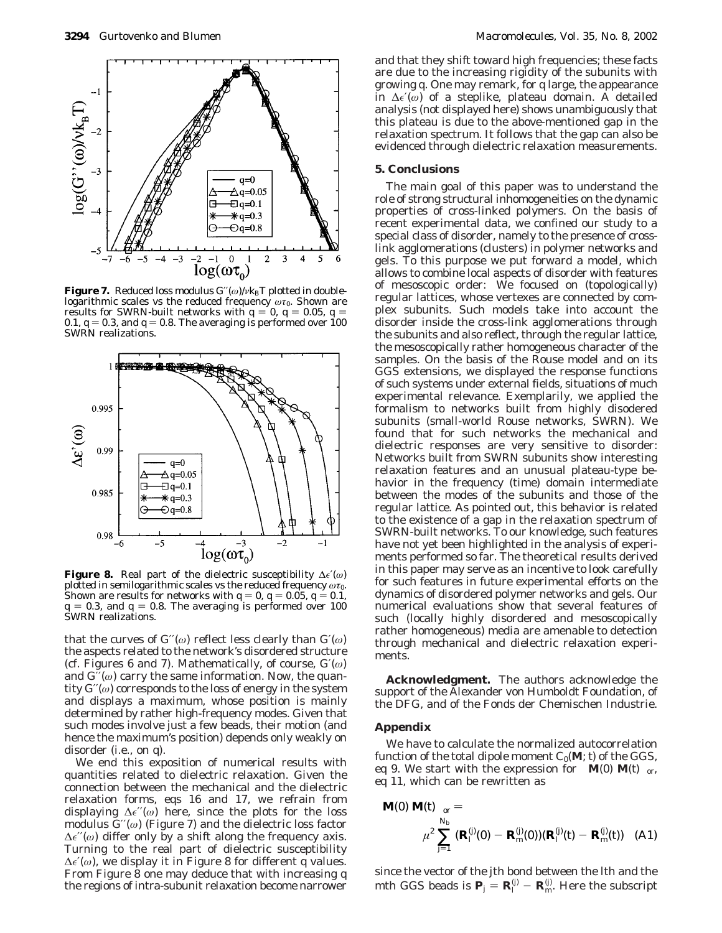

**Figure 7.** Reduced loss modulus  $G'(\omega)/v k_B T$  plotted in double- $\log$ **arithmic scales vs the reduced frequency**  $\omega \tau_0$ . Shown are results for SWRN-built networks with  $q = 0, q = 0.05, q = 0.05$ 0.1,  $q = 0.3$ , and  $q = 0.8$ . The averaging is performed over 100 SWRN realizations.



**Figure 8.** Real part of the dielectric susceptibility ∆′(*ω*) plotted in semilogarithmic scales vs the reduced frequency  $\omega\tau_0$ . Shown are results for networks with  $q = 0, q = 0.05, q = 0.1$ ,  $q = 0.3$ , and  $q = 0.8$ . The averaging is performed over 100 SWRN realizations.

that the curves of  $G''(\omega)$  reflect less clearly than  $G'(\omega)$ the aspects related to the network's disordered structure (cf. Figures 6 and 7). Mathematically, of course, *G*′(*ω*) and *G*′′(*ω*) carry the same information. Now, the quantity *G*′′(*ω*) corresponds to the loss of energy in the system and displays a maximum, whose position is mainly determined by rather high-frequency modes. Given that such modes involve just a few beads, their motion (and hence the maximum's position) depends only weakly on disorder (i.e., on *q*).

We end this exposition of numerical results with quantities related to dielectric relaxation. Given the connection between the mechanical and the dielectric relaxation forms, eqs 16 and 17, we refrain from displaying ∆′′(*ω*) here, since the plots for the loss modulus  $G''(\omega)$  (Figure 7) and the dielectric loss factor  $\Delta \epsilon^{\prime\prime}(\omega)$  differ only by a shift along the frequency axis. Turning to the real part of dielectric susceptibility ∆′(*ω*), we display it in Figure 8 for different *q* values. From Figure 8 one may deduce that with increasing *q* the regions of intra-subunit relaxation become narrower

and that they shift toward high frequencies; these facts are due to the increasing rigidity of the subunits with growing *q*. One may remark, for *q* large, the appearance in ∆′(*ω*) of a steplike, plateau domain. A detailed analysis (not displayed here) shows unambiguously that this plateau is due to the above-mentioned gap in the relaxation spectrum. It follows that the gap can also be evidenced through dielectric relaxation measurements.

## **5. Conclusions**

The main goal of this paper was to understand the role of strong structural inhomogeneities on the dynamic properties of cross-linked polymers. On the basis of recent experimental data, we confined our study to a special class of disorder, namely to the presence of crosslink agglomerations (clusters) in polymer networks and gels. To this purpose we put forward a model, which allows to combine local aspects of disorder with features of mesoscopic order: We focused on (topologically) regular lattices, whose vertexes are connected by complex subunits. Such models take into account the disorder inside the cross-link agglomerations through the subunits and also reflect, through the regular lattice, the mesoscopically rather homogeneous character of the samples. On the basis of the Rouse model and on its GGS extensions, we displayed the response functions of such systems under external fields, situations of much experimental relevance. Exemplarily, we applied the formalism to networks built from highly disodered subunits (small-world Rouse networks, SWRN). We found that for such networks the mechanical and dielectric responses are very sensitive to disorder: Networks built from SWRN subunits show interesting relaxation features and an unusual plateau-type behavior in the frequency (time) domain intermediate between the modes of the subunits and those of the regular lattice. As pointed out, this behavior is related to the existence of a gap in the relaxation spectrum of SWRN-built networks. To our knowledge, such features have not yet been highlighted in the analysis of experiments performed so far. The theoretical results derived in this paper may serve as an incentive to look carefully for such features in future experimental efforts on the dynamics of disordered polymer networks and gels. Our numerical evaluations show that several features of such (locally highly disordered and mesoscopically rather homogeneous) media are amenable to detection through mechanical and dielectric relaxation experiments.

**Acknowledgment.** The authors acknowledge the support of the Alexander von Humboldt Foundation, of the DFG, and of the Fonds der Chemischen Industrie.

#### **Appendix**

We have to calculate the normalized autocorrelation function of the total dipole moment  $C_0(\mathbf{M}; t)$  of the GGS, eq 9. We start with the expression for  $\langle\langle \mathbf{M}(0) \mathbf{M}(t) \rangle\rangle_{\text{or}}$ , eq 11, which can be rewritten as

$$
\langle \langle \mathbf{M}(0) \mathbf{M}(t) \rangle \rangle_{\text{or}} =
$$

$$
\mu^2 \sum_{j=1}^{N_b} \langle (\mathbf{R}_j^{(j)}(0) - \mathbf{R}_m^{(j)}(0)) (\mathbf{R}_j^{(j)}(t) - \mathbf{R}_m^{(j)}(t)) \rangle \tag{A1}
$$

since the vector of the *j*th bond between the *l*th and the *m*th GGS beads is  $P_j = R_j^{(j)} - R_m^{(j)}$ . Here the subscript